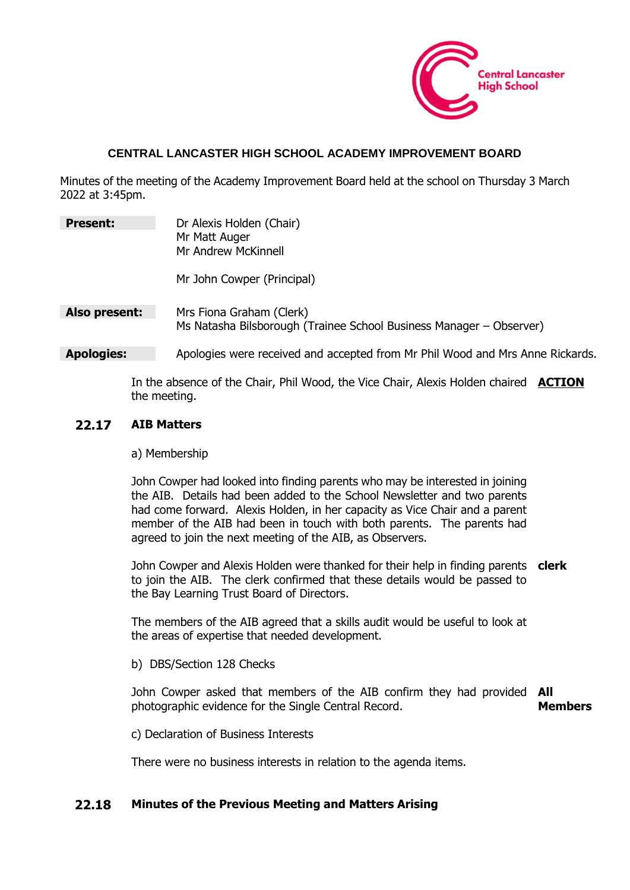

#### **CENTRAL LANCASTER HIGH SCHOOL ACADEMY IMPROVEMENT BOARD**

Minutes of the meeting of the Academy Improvement Board held at the school on Thursday 3 March 2022 at 3:45pm.

| <b>Present:</b>   | Dr Alexis Holden (Chair)<br>Mr Matt Auger<br>Mr Andrew McKinnell<br>Mr John Cowper (Principal) |
|-------------------|------------------------------------------------------------------------------------------------|
| Also present:     | Mrs Fiona Graham (Clerk)                                                                       |
|                   | Ms Natasha Bilsborough (Trainee School Business Manager – Observer)                            |
| <b>Apologies:</b> | Apologies were received and accepted from Mr Phil Wood and Mrs Anne Rickards.                  |

In the absence of the Chair, Phil Wood, the Vice Chair, Alexis Holden chaired **ACTION** the meeting.

## **22.17 AIB Matters**

a) Membership

John Cowper had looked into finding parents who may be interested in joining the AIB. Details had been added to the School Newsletter and two parents had come forward. Alexis Holden, in her capacity as Vice Chair and a parent member of the AIB had been in touch with both parents. The parents had agreed to join the next meeting of the AIB, as Observers.

John Cowper and Alexis Holden were thanked for their help in finding parents **clerk** to join the AIB. The clerk confirmed that these details would be passed to the Bay Learning Trust Board of Directors.

The members of the AIB agreed that a skills audit would be useful to look at the areas of expertise that needed development.

b) DBS/Section 128 Checks

John Cowper asked that members of the AIB confirm they had provided **All**  photographic evidence for the Single Central Record. **Members**

c) Declaration of Business Interests

There were no business interests in relation to the agenda items.

#### **22.18 Minutes of the Previous Meeting and Matters Arising**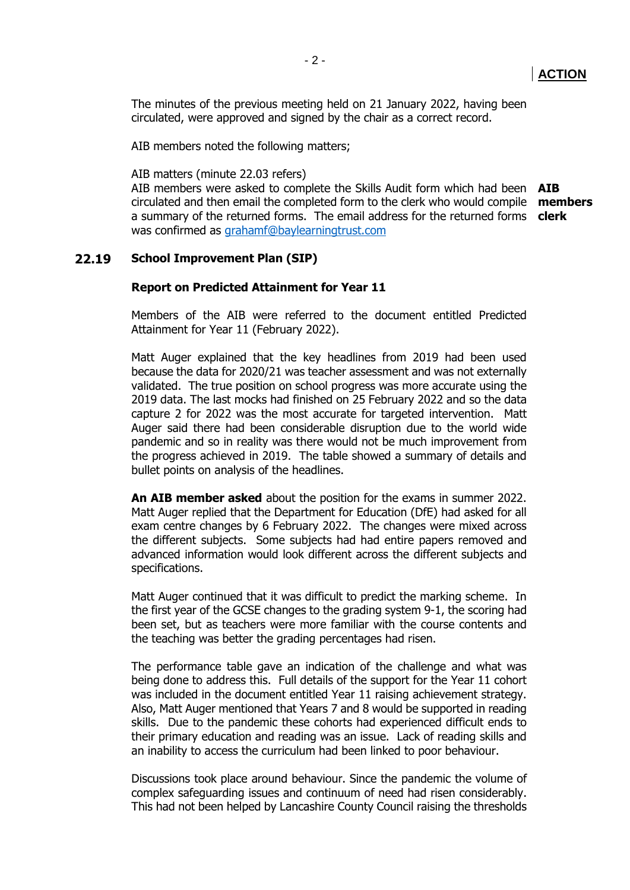The minutes of the previous meeting held on 21 January 2022, having been circulated, were approved and signed by the chair as a correct record.

AIB members noted the following matters;

AIB matters (minute 22.03 refers)

AIB members were asked to complete the Skills Audit form which had been **AIB**  circulated and then email the completed form to the clerk who would compile **members** a summary of the returned forms. The email address for the returned forms **clerk** was confirmed as [grahamf@baylearningtrust.com](mailto:grahamf@baylearningtrust.com)

## **22.19 School Improvement Plan (SIP)**

#### **Report on Predicted Attainment for Year 11**

Members of the AIB were referred to the document entitled Predicted Attainment for Year 11 (February 2022).

Matt Auger explained that the key headlines from 2019 had been used because the data for 2020/21 was teacher assessment and was not externally validated. The true position on school progress was more accurate using the 2019 data. The last mocks had finished on 25 February 2022 and so the data capture 2 for 2022 was the most accurate for targeted intervention. Matt Auger said there had been considerable disruption due to the world wide pandemic and so in reality was there would not be much improvement from the progress achieved in 2019. The table showed a summary of details and bullet points on analysis of the headlines.

**An AIB member asked** about the position for the exams in summer 2022. Matt Auger replied that the Department for Education (DfE) had asked for all exam centre changes by 6 February 2022. The changes were mixed across the different subjects. Some subjects had had entire papers removed and advanced information would look different across the different subjects and specifications.

Matt Auger continued that it was difficult to predict the marking scheme. In the first year of the GCSE changes to the grading system 9-1, the scoring had been set, but as teachers were more familiar with the course contents and the teaching was better the grading percentages had risen.

The performance table gave an indication of the challenge and what was being done to address this. Full details of the support for the Year 11 cohort was included in the document entitled Year 11 raising achievement strategy. Also, Matt Auger mentioned that Years 7 and 8 would be supported in reading skills. Due to the pandemic these cohorts had experienced difficult ends to their primary education and reading was an issue. Lack of reading skills and an inability to access the curriculum had been linked to poor behaviour.

Discussions took place around behaviour. Since the pandemic the volume of complex safeguarding issues and continuum of need had risen considerably. This had not been helped by Lancashire County Council raising the thresholds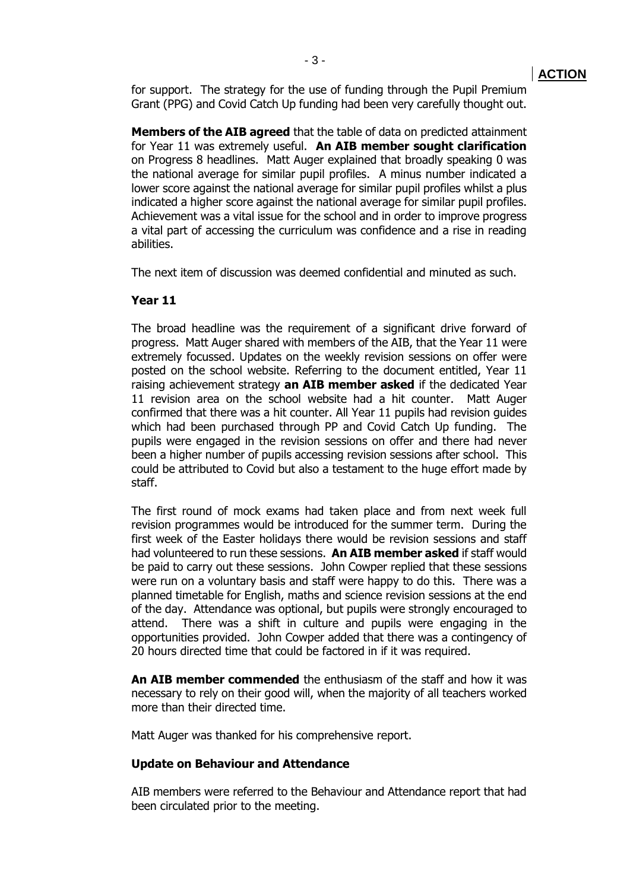for support. The strategy for the use of funding through the Pupil Premium Grant (PPG) and Covid Catch Up funding had been very carefully thought out.

**Members of the AIB agreed** that the table of data on predicted attainment for Year 11 was extremely useful. **An AIB member sought clarification** on Progress 8 headlines. Matt Auger explained that broadly speaking 0 was the national average for similar pupil profiles. A minus number indicated a lower score against the national average for similar pupil profiles whilst a plus indicated a higher score against the national average for similar pupil profiles. Achievement was a vital issue for the school and in order to improve progress a vital part of accessing the curriculum was confidence and a rise in reading abilities.

The next item of discussion was deemed confidential and minuted as such.

#### **Year 11**

The broad headline was the requirement of a significant drive forward of progress. Matt Auger shared with members of the AIB, that the Year 11 were extremely focussed. Updates on the weekly revision sessions on offer were posted on the school website. Referring to the document entitled, Year 11 raising achievement strategy **an AIB member asked** if the dedicated Year 11 revision area on the school website had a hit counter. Matt Auger confirmed that there was a hit counter. All Year 11 pupils had revision guides which had been purchased through PP and Covid Catch Up funding. The pupils were engaged in the revision sessions on offer and there had never been a higher number of pupils accessing revision sessions after school. This could be attributed to Covid but also a testament to the huge effort made by staff.

The first round of mock exams had taken place and from next week full revision programmes would be introduced for the summer term. During the first week of the Easter holidays there would be revision sessions and staff had volunteered to run these sessions. **An AIB member asked** if staff would be paid to carry out these sessions. John Cowper replied that these sessions were run on a voluntary basis and staff were happy to do this. There was a planned timetable for English, maths and science revision sessions at the end of the day. Attendance was optional, but pupils were strongly encouraged to attend. There was a shift in culture and pupils were engaging in the opportunities provided. John Cowper added that there was a contingency of 20 hours directed time that could be factored in if it was required.

**An AIB member commended** the enthusiasm of the staff and how it was necessary to rely on their good will, when the majority of all teachers worked more than their directed time.

Matt Auger was thanked for his comprehensive report.

#### **Update on Behaviour and Attendance**

AIB members were referred to the Behaviour and Attendance report that had been circulated prior to the meeting.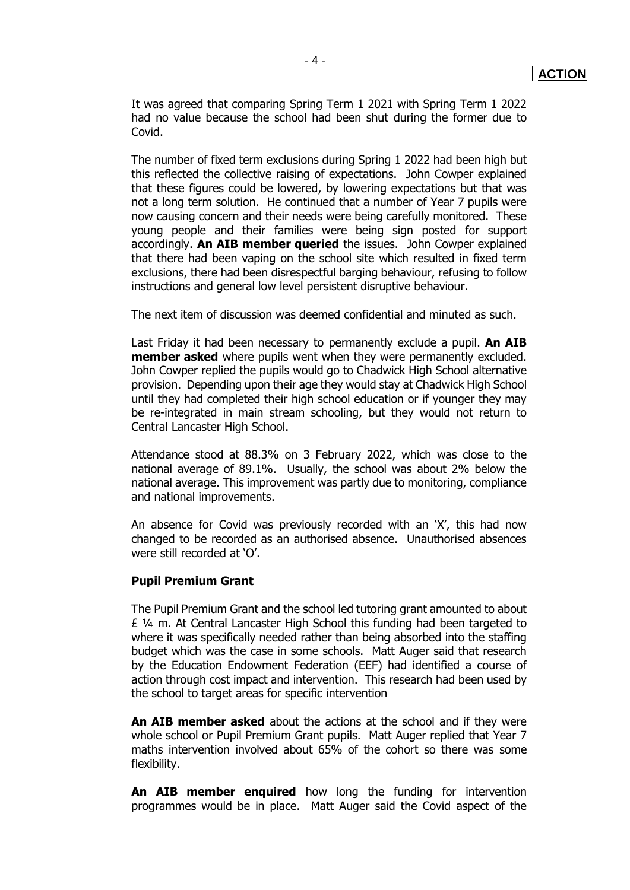It was agreed that comparing Spring Term 1 2021 with Spring Term 1 2022 had no value because the school had been shut during the former due to Covid.

The number of fixed term exclusions during Spring 1 2022 had been high but this reflected the collective raising of expectations. John Cowper explained that these figures could be lowered, by lowering expectations but that was not a long term solution. He continued that a number of Year 7 pupils were now causing concern and their needs were being carefully monitored. These young people and their families were being sign posted for support accordingly. **An AIB member queried** the issues. John Cowper explained that there had been vaping on the school site which resulted in fixed term exclusions, there had been disrespectful barging behaviour, refusing to follow instructions and general low level persistent disruptive behaviour.

The next item of discussion was deemed confidential and minuted as such.

Last Friday it had been necessary to permanently exclude a pupil. **An AIB member asked** where pupils went when they were permanently excluded. John Cowper replied the pupils would go to Chadwick High School alternative provision. Depending upon their age they would stay at Chadwick High School until they had completed their high school education or if younger they may be re-integrated in main stream schooling, but they would not return to Central Lancaster High School.

Attendance stood at 88.3% on 3 February 2022, which was close to the national average of 89.1%. Usually, the school was about 2% below the national average. This improvement was partly due to monitoring, compliance and national improvements.

An absence for Covid was previously recorded with an 'X', this had now changed to be recorded as an authorised absence. Unauthorised absences were still recorded at 'O'.

#### **Pupil Premium Grant**

The Pupil Premium Grant and the school led tutoring grant amounted to about £ ¼ m. At Central Lancaster High School this funding had been targeted to where it was specifically needed rather than being absorbed into the staffing budget which was the case in some schools. Matt Auger said that research by the Education Endowment Federation (EEF) had identified a course of action through cost impact and intervention. This research had been used by the school to target areas for specific intervention

**An AIB member asked** about the actions at the school and if they were whole school or Pupil Premium Grant pupils. Matt Auger replied that Year 7 maths intervention involved about 65% of the cohort so there was some flexibility.

**An AIB member enquired** how long the funding for intervention programmes would be in place. Matt Auger said the Covid aspect of the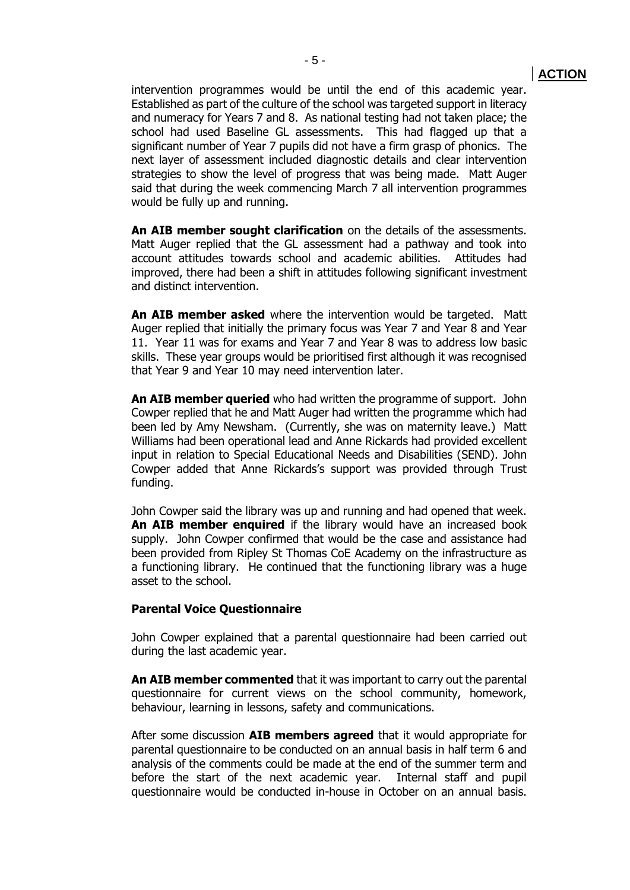intervention programmes would be until the end of this academic year. Established as part of the culture of the school was targeted support in literacy and numeracy for Years 7 and 8. As national testing had not taken place; the school had used Baseline GL assessments. This had flagged up that a significant number of Year 7 pupils did not have a firm grasp of phonics. The next layer of assessment included diagnostic details and clear intervention strategies to show the level of progress that was being made. Matt Auger said that during the week commencing March 7 all intervention programmes would be fully up and running.

**An AIB member sought clarification** on the details of the assessments. Matt Auger replied that the GL assessment had a pathway and took into account attitudes towards school and academic abilities. Attitudes had improved, there had been a shift in attitudes following significant investment and distinct intervention.

**An AIB member asked** where the intervention would be targeted. Matt Auger replied that initially the primary focus was Year 7 and Year 8 and Year 11. Year 11 was for exams and Year 7 and Year 8 was to address low basic skills. These year groups would be prioritised first although it was recognised that Year 9 and Year 10 may need intervention later.

**An AIB member queried** who had written the programme of support. John Cowper replied that he and Matt Auger had written the programme which had been led by Amy Newsham. (Currently, she was on maternity leave.) Matt Williams had been operational lead and Anne Rickards had provided excellent input in relation to Special Educational Needs and Disabilities (SEND). John Cowper added that Anne Rickards's support was provided through Trust funding.

John Cowper said the library was up and running and had opened that week. **An AIB member enquired** if the library would have an increased book supply. John Cowper confirmed that would be the case and assistance had been provided from Ripley St Thomas CoE Academy on the infrastructure as a functioning library. He continued that the functioning library was a huge asset to the school.

#### **Parental Voice Questionnaire**

John Cowper explained that a parental questionnaire had been carried out during the last academic year.

**An AIB member commented** that it was important to carry out the parental questionnaire for current views on the school community, homework, behaviour, learning in lessons, safety and communications.

After some discussion **AIB members agreed** that it would appropriate for parental questionnaire to be conducted on an annual basis in half term 6 and analysis of the comments could be made at the end of the summer term and before the start of the next academic year. Internal staff and pupil questionnaire would be conducted in-house in October on an annual basis.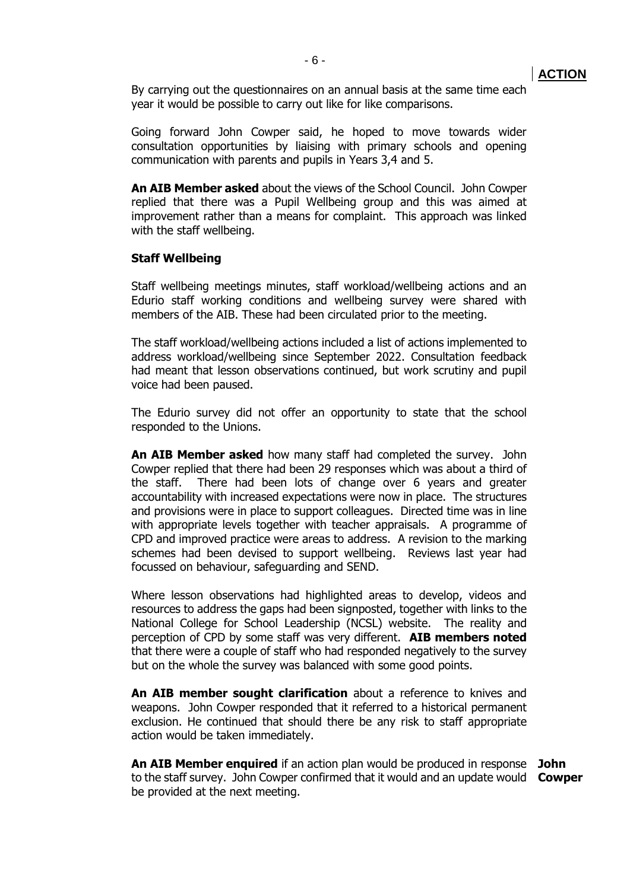By carrying out the questionnaires on an annual basis at the same time each year it would be possible to carry out like for like comparisons.

Going forward John Cowper said, he hoped to move towards wider consultation opportunities by liaising with primary schools and opening communication with parents and pupils in Years 3,4 and 5.

**An AIB Member asked** about the views of the School Council. John Cowper replied that there was a Pupil Wellbeing group and this was aimed at improvement rather than a means for complaint. This approach was linked with the staff wellbeing.

#### **Staff Wellbeing**

Staff wellbeing meetings minutes, staff workload/wellbeing actions and an Edurio staff working conditions and wellbeing survey were shared with members of the AIB. These had been circulated prior to the meeting.

The staff workload/wellbeing actions included a list of actions implemented to address workload/wellbeing since September 2022. Consultation feedback had meant that lesson observations continued, but work scrutiny and pupil voice had been paused.

The Edurio survey did not offer an opportunity to state that the school responded to the Unions.

**An AIB Member asked** how many staff had completed the survey. John Cowper replied that there had been 29 responses which was about a third of the staff. There had been lots of change over 6 years and greater accountability with increased expectations were now in place. The structures and provisions were in place to support colleagues. Directed time was in line with appropriate levels together with teacher appraisals. A programme of CPD and improved practice were areas to address. A revision to the marking schemes had been devised to support wellbeing. Reviews last year had focussed on behaviour, safeguarding and SEND.

Where lesson observations had highlighted areas to develop, videos and resources to address the gaps had been signposted, together with links to the National College for School Leadership (NCSL) website. The reality and perception of CPD by some staff was very different. **AIB members noted** that there were a couple of staff who had responded negatively to the survey but on the whole the survey was balanced with some good points.

**An AIB member sought clarification** about a reference to knives and weapons. John Cowper responded that it referred to a historical permanent exclusion. He continued that should there be any risk to staff appropriate action would be taken immediately.

**An AIB Member enquired** if an action plan would be produced in response **John**  to the staff survey. John Cowper confirmed that it would and an update would **Cowper**be provided at the next meeting.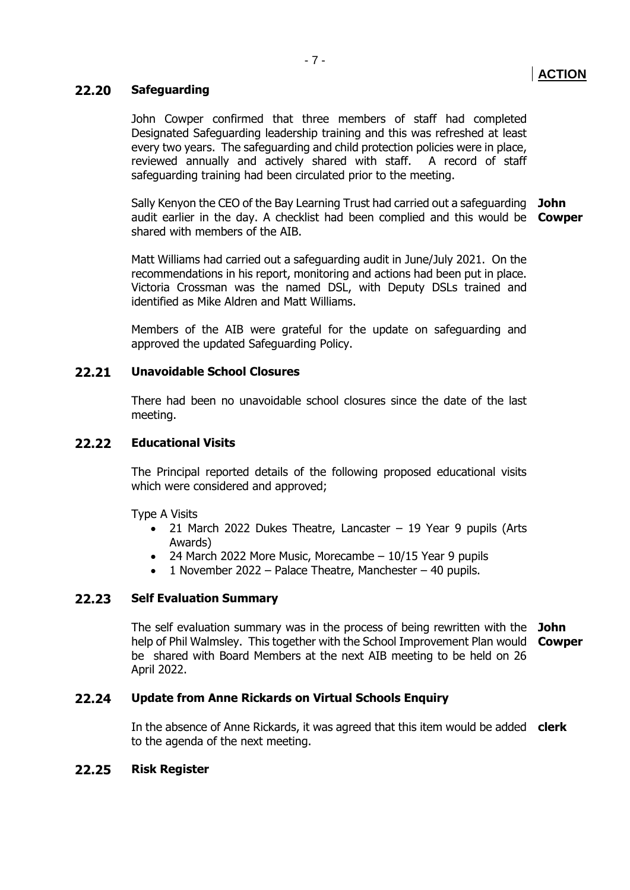## **22.20 Safeguarding**

John Cowper confirmed that three members of staff had completed Designated Safeguarding leadership training and this was refreshed at least every two years. The safeguarding and child protection policies were in place, reviewed annually and actively shared with staff. A record of staff safeguarding training had been circulated prior to the meeting.

Sally Kenyon the CEO of the Bay Learning Trust had carried out a safeguarding **John**  audit earlier in the day. A checklist had been complied and this would be **Cowper** shared with members of the AIB.

Matt Williams had carried out a safeguarding audit in June/July 2021. On the recommendations in his report, monitoring and actions had been put in place. Victoria Crossman was the named DSL, with Deputy DSLs trained and identified as Mike Aldren and Matt Williams.

Members of the AIB were grateful for the update on safeguarding and approved the updated Safeguarding Policy.

## **22.21 Unavoidable School Closures**

There had been no unavoidable school closures since the date of the last meeting.

#### **22.22 Educational Visits**

The Principal reported details of the following proposed educational visits which were considered and approved;

Type A Visits

- 21 March 2022 Dukes Theatre, Lancaster 19 Year 9 pupils (Arts Awards)
- 24 March 2022 More Music, Morecambe 10/15 Year 9 pupils
- 1 November 2022 Palace Theatre, Manchester 40 pupils.

## **22.23 Self Evaluation Summary**

The self evaluation summary was in the process of being rewritten with the **John**  help of Phil Walmsley. This together with the School Improvement Plan would **Cowper** be shared with Board Members at the next AIB meeting to be held on 26 April 2022.

#### **22.24 Update from Anne Rickards on Virtual Schools Enquiry**

In the absence of Anne Rickards, it was agreed that this item would be added **clerk** to the agenda of the next meeting.

#### **22.25 Risk Register**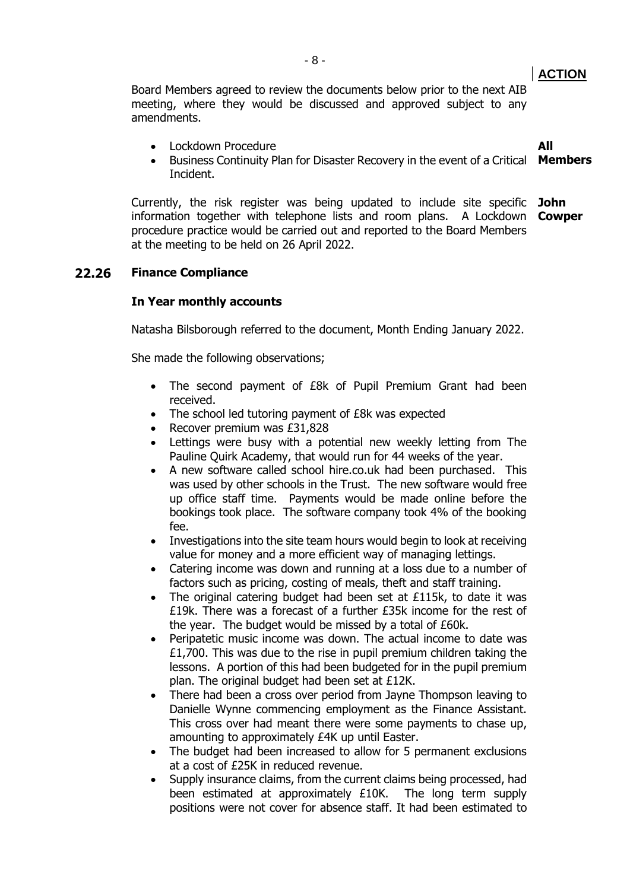# **ACTION**

**All** 

Board Members agreed to review the documents below prior to the next AIB meeting, where they would be discussed and approved subject to any amendments.

- Lockdown Procedure
- Business Continuity Plan for Disaster Recovery in the event of a Critical **Members** Incident.

Currently, the risk register was being updated to include site specific **John**  information together with telephone lists and room plans. A Lockdown **Cowper** procedure practice would be carried out and reported to the Board Members at the meeting to be held on 26 April 2022.

## **22.26 Finance Compliance**

#### **In Year monthly accounts**

Natasha Bilsborough referred to the document, Month Ending January 2022.

She made the following observations;

- The second payment of £8k of Pupil Premium Grant had been received.
- The school led tutoring payment of £8k was expected
- Recover premium was £31,828
- Lettings were busy with a potential new weekly letting from The Pauline Quirk Academy, that would run for 44 weeks of the year.
- A new software called school hire.co.uk had been purchased. This was used by other schools in the Trust. The new software would free up office staff time. Payments would be made online before the bookings took place. The software company took 4% of the booking fee.
- Investigations into the site team hours would begin to look at receiving value for money and a more efficient way of managing lettings.
- Catering income was down and running at a loss due to a number of factors such as pricing, costing of meals, theft and staff training.
- The original catering budget had been set at £115k, to date it was £19k. There was a forecast of a further £35k income for the rest of the year. The budget would be missed by a total of £60k.
- Peripatetic music income was down. The actual income to date was £1,700. This was due to the rise in pupil premium children taking the lessons. A portion of this had been budgeted for in the pupil premium plan. The original budget had been set at £12K.
- There had been a cross over period from Jayne Thompson leaving to Danielle Wynne commencing employment as the Finance Assistant. This cross over had meant there were some payments to chase up, amounting to approximately £4K up until Easter.
- The budget had been increased to allow for 5 permanent exclusions at a cost of £25K in reduced revenue.
- Supply insurance claims, from the current claims being processed, had been estimated at approximately £10K. The long term supply positions were not cover for absence staff. It had been estimated to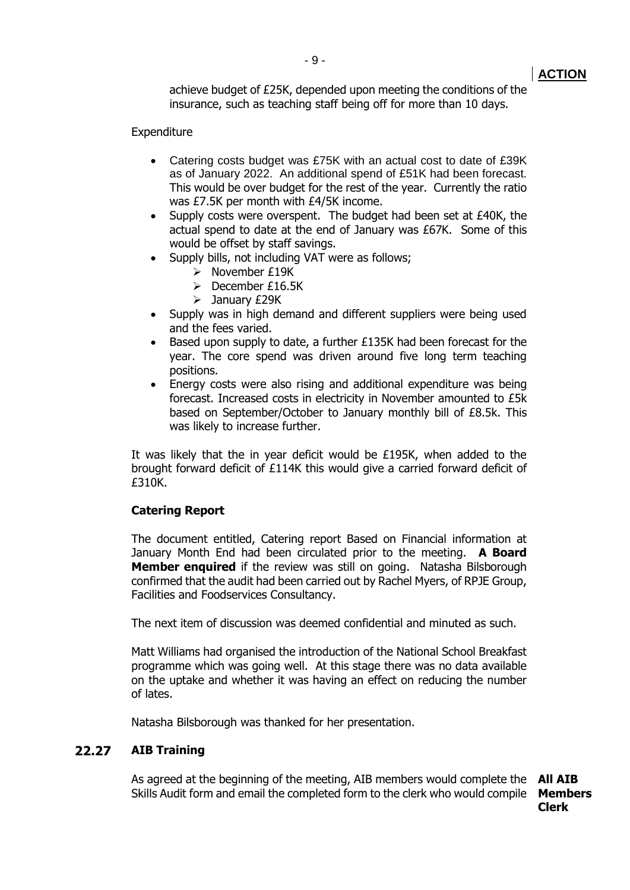achieve budget of £25K, depended upon meeting the conditions of the insurance, such as teaching staff being off for more than 10 days.

#### **Expenditure**

- Catering costs budget was £75K with an actual cost to date of £39K as of January 2022. An additional spend of £51K had been forecast. This would be over budget for the rest of the year. Currently the ratio was £7.5K per month with £4/5K income.
- Supply costs were overspent. The budget had been set at £40K, the actual spend to date at the end of January was £67K. Some of this would be offset by staff savings.
	- Supply bills, not including VAT were as follows;
		- ➢ November £19K
		- ➢ December £16.5K
		- ➢ January £29K
- Supply was in high demand and different suppliers were being used and the fees varied.
- Based upon supply to date, a further £135K had been forecast for the year. The core spend was driven around five long term teaching positions.
- Energy costs were also rising and additional expenditure was being forecast. Increased costs in electricity in November amounted to £5k based on September/October to January monthly bill of £8.5k. This was likely to increase further.

It was likely that the in year deficit would be £195K, when added to the brought forward deficit of £114K this would give a carried forward deficit of £310K.

## **Catering Report**

The document entitled, Catering report Based on Financial information at January Month End had been circulated prior to the meeting. **A Board Member enquired** if the review was still on going. Natasha Bilsborough confirmed that the audit had been carried out by Rachel Myers, of RPJE Group, Facilities and Foodservices Consultancy.

The next item of discussion was deemed confidential and minuted as such.

Matt Williams had organised the introduction of the National School Breakfast programme which was going well. At this stage there was no data available on the uptake and whether it was having an effect on reducing the number of lates.

Natasha Bilsborough was thanked for her presentation.

## **22.27 AIB Training**

As agreed at the beginning of the meeting, AIB members would complete the **All AIB**  Skills Audit form and email the completed form to the clerk who would compile **Members**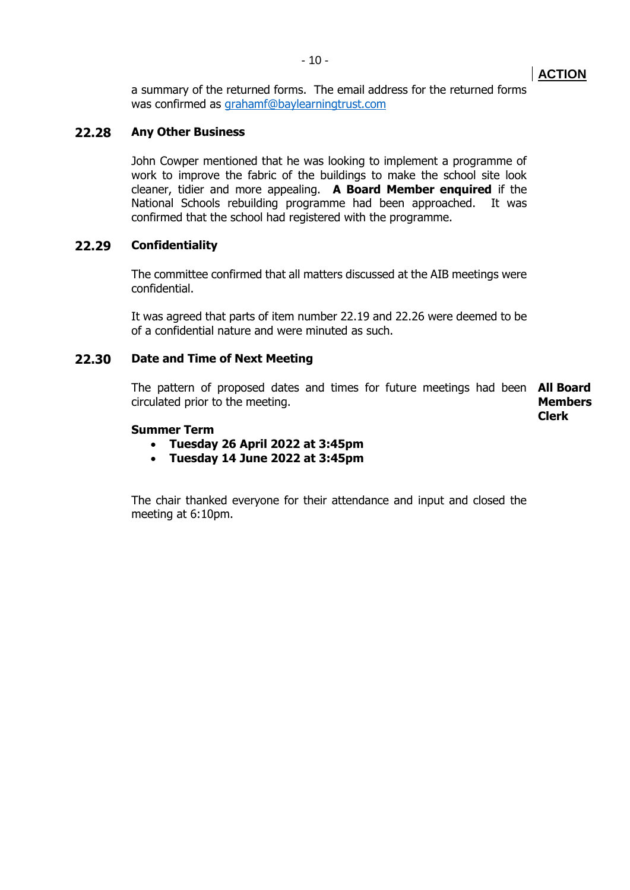**Clerk**

a summary of the returned forms. The email address for the returned forms was confirmed as [grahamf@baylearningtrust.com](mailto:grahamf@baylearningtrust.com)

## **22.28 Any Other Business**

John Cowper mentioned that he was looking to implement a programme of work to improve the fabric of the buildings to make the school site look cleaner, tidier and more appealing. **A Board Member enquired** if the National Schools rebuilding programme had been approached. It was confirmed that the school had registered with the programme.

## **22.29 Confidentiality**

The committee confirmed that all matters discussed at the AIB meetings were confidential.

It was agreed that parts of item number 22.19 and 22.26 were deemed to be of a confidential nature and were minuted as such.

#### **22.30 Date and Time of Next Meeting**

The pattern of proposed dates and times for future meetings had been **All Board**  circulated prior to the meeting. **Members**

# **Summer Term**

- **Tuesday 26 April 2022 at 3:45pm**
- **Tuesday 14 June 2022 at 3:45pm**

The chair thanked everyone for their attendance and input and closed the meeting at 6:10pm.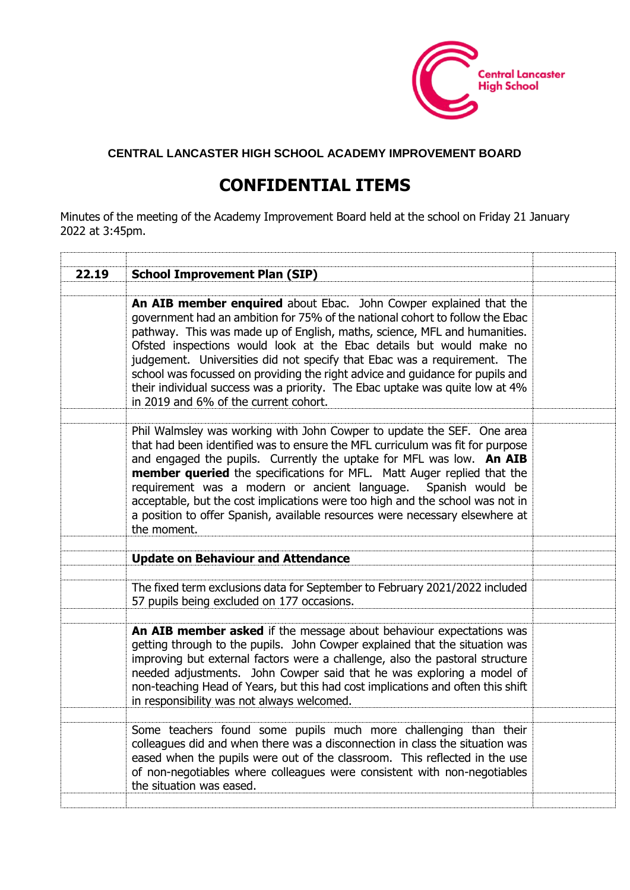

# **CENTRAL LANCASTER HIGH SCHOOL ACADEMY IMPROVEMENT BOARD**

# **CONFIDENTIAL ITEMS**

Minutes of the meeting of the Academy Improvement Board held at the school on Friday 21 January 2022 at 3:45pm.

| 22.19 | <b>School Improvement Plan (SIP)</b>                                                                                                                                                                                                                                                                                                                                                                                                                                                                                                                                                        |  |
|-------|---------------------------------------------------------------------------------------------------------------------------------------------------------------------------------------------------------------------------------------------------------------------------------------------------------------------------------------------------------------------------------------------------------------------------------------------------------------------------------------------------------------------------------------------------------------------------------------------|--|
|       | An AIB member enquired about Ebac. John Cowper explained that the<br>government had an ambition for 75% of the national cohort to follow the Ebac<br>pathway. This was made up of English, maths, science, MFL and humanities.<br>Ofsted inspections would look at the Ebac details but would make no<br>judgement. Universities did not specify that Ebac was a requirement. The<br>school was focussed on providing the right advice and guidance for pupils and<br>their individual success was a priority. The Ebac uptake was quite low at 4%<br>in 2019 and 6% of the current cohort. |  |
|       |                                                                                                                                                                                                                                                                                                                                                                                                                                                                                                                                                                                             |  |
|       | Phil Walmsley was working with John Cowper to update the SEF. One area<br>that had been identified was to ensure the MFL curriculum was fit for purpose<br>and engaged the pupils. Currently the uptake for MFL was low. An AIB<br>member queried the specifications for MFL. Matt Auger replied that the<br>requirement was a modern or ancient language. Spanish would be<br>acceptable, but the cost implications were too high and the school was not in<br>a position to offer Spanish, available resources were necessary elsewhere at<br>the moment.                                 |  |
|       |                                                                                                                                                                                                                                                                                                                                                                                                                                                                                                                                                                                             |  |
|       | <b>Update on Behaviour and Attendance</b>                                                                                                                                                                                                                                                                                                                                                                                                                                                                                                                                                   |  |
|       |                                                                                                                                                                                                                                                                                                                                                                                                                                                                                                                                                                                             |  |
|       | The fixed term exclusions data for September to February 2021/2022 included<br>57 pupils being excluded on 177 occasions.                                                                                                                                                                                                                                                                                                                                                                                                                                                                   |  |
|       |                                                                                                                                                                                                                                                                                                                                                                                                                                                                                                                                                                                             |  |
|       | An AIB member asked if the message about behaviour expectations was<br>getting through to the pupils. John Cowper explained that the situation was<br>improving but external factors were a challenge, also the pastoral structure<br>needed adjustments. John Cowper said that he was exploring a model of<br>non-teaching Head of Years, but this had cost implications and often this shift<br>in responsibility was not always welcomed.                                                                                                                                                |  |
|       |                                                                                                                                                                                                                                                                                                                                                                                                                                                                                                                                                                                             |  |
|       | Some teachers found some pupils much more challenging than their<br>colleagues did and when there was a disconnection in class the situation was<br>eased when the pupils were out of the classroom. This reflected in the use<br>of non-negotiables where colleagues were consistent with non-negotiables<br>the situation was eased.                                                                                                                                                                                                                                                      |  |
|       |                                                                                                                                                                                                                                                                                                                                                                                                                                                                                                                                                                                             |  |